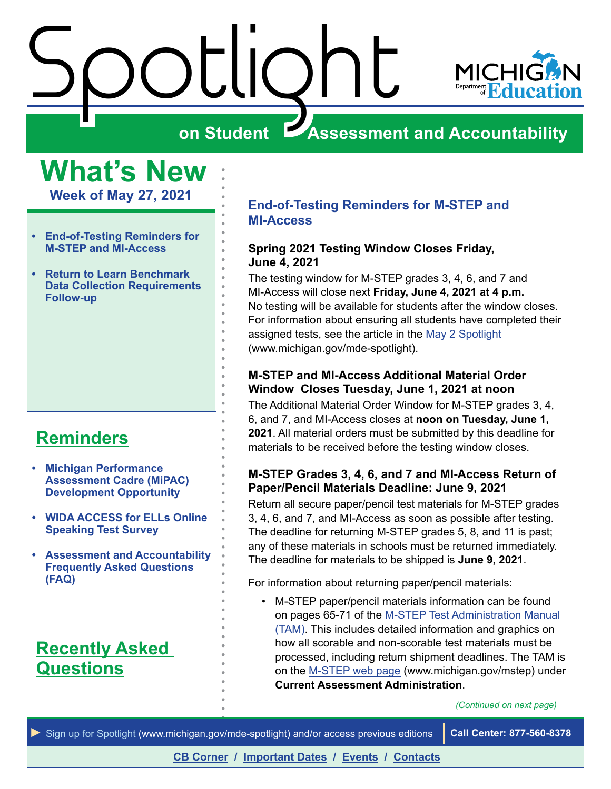<span id="page-0-0"></span>



## **Assessment and Accountability**

**What's New**

**Week of May 27, 2021**

- **• End-of-Testing Reminders for M-STEP and MI-Access**
- **• [Return to Learn Benchmark](#page-1-0)  [Data Collection Requirements](#page-1-0)  [Follow-up](#page-1-0)**

## **[Reminders](#page-3-0)**

- **• [Michigan Performance](#page-3-1)  [Assessment Cadre \(MiPAC\)](#page-3-1)  [Development Opportunity](#page-3-1)**
- **• [WIDA ACCESS for ELLs Online](#page-3-1)  [Speaking Test Survey](#page-3-1)**
- **• [Assessment and Accountability](#page-3-1)  [Frequently Asked Questions](#page-3-1)  [\(FAQ\)](#page-3-1)**

## **Recently Asked [Questions](#page-5-0)**

#### **End-of-Testing Reminders for M-STEP and MI-Access**

#### **Spring 2021 Testing Window Closes Friday, June 4, 2021**

The testing window for M-STEP grades 3, 4, 6, and 7 and MI-Access will close next **Friday, June 4, 2021 at 4 p.m.** No testing will be available for students after the window closes. For information about ensuring all students have completed their assigned tests, see the article in the [May 2 Spotlight](https://www.michigan.gov/documents/mde/Spotlight_5-2-19_654086_7.pdf) (www.michigan.gov/mde-spotlight).

#### **M-STEP and MI-Access Additional Material Order Window Closes Tuesday, June 1, 2021 at noon**

The Additional Material Order Window for M-STEP grades 3, 4, 6, and 7, and MI-Access closes at **noon on Tuesday, June 1, 2021**. All material orders must be submitted by this deadline for materials to be received before the testing window closes.

#### **M-STEP Grades 3, 4, 6, and 7 and MI-Access Return of Paper/Pencil Materials Deadline: June 9, 2021**

Return all secure paper/pencil test materials for M-STEP grades 3, 4, 6, and 7, and MI-Access as soon as possible after testing. The deadline for returning M-STEP grades 5, 8, and 11 is past; any of these materials in schools must be returned immediately. The deadline for materials to be shipped is **June 9, 2021**.

For information about returning paper/pencil materials:

• M-STEP paper/pencil materials information can be found on pages 65-71 of the [M-STEP Test Administration Manual](https://www.michigan.gov/documents/mde/M-STEP_Test_Administration_Manual_630729_7.pdf)  [\(TAM\).](https://www.michigan.gov/documents/mde/M-STEP_Test_Administration_Manual_630729_7.pdf) This includes detailed information and graphics on how all scorable and non-scorable test materials must be processed, including return shipment deadlines. The TAM is on the [M-STEP web page](www.michigan.gov/mstep) (www.michigan.gov/mstep) under **Current Assessment Administration**.

*(Continued on next page)*

*►* [Sign up for Spotlight](https://public.govdelivery.com/accounts/MIMDE/subscriber/new) [\(www.michigan.gov/mde](www.michigan.gov/mde-spotlight)-spotlight) and/or access previous editions **Call Center: 877-560-8378**

**[CB Corner](#page-4-0) / [Important Dates](#page-6-0) / [Events](#page-7-0) / [Contacts](#page-8-0)**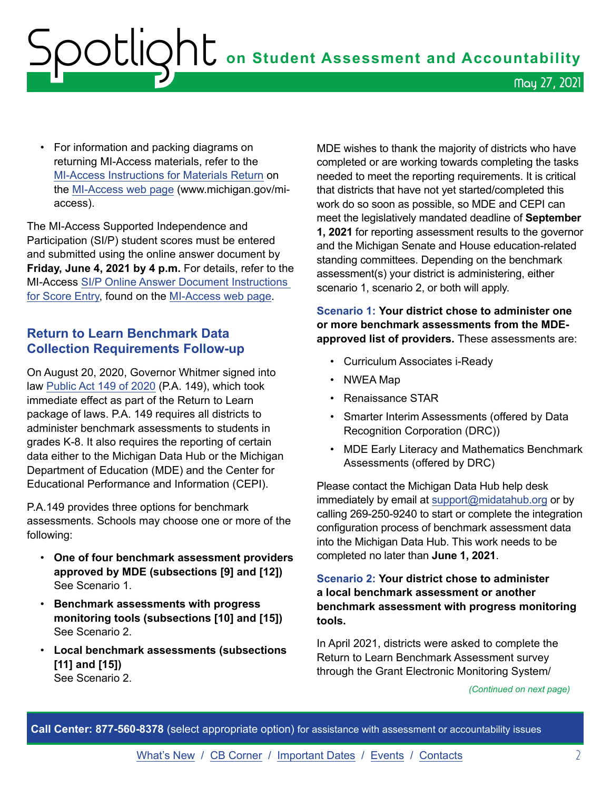# <span id="page-1-0"></span> ${\sf SOLIQht}$  on Student Assessment and Accountability May 27, 2021

• For information and packing diagrams on returning MI-Access materials, refer to the [MI-Access Instructions for Materials Return](https://www.michigan.gov/documents/mde/Spring_2018_MI-Access__Instructions_for_Materials_Return_614132_7.pdf) on the [MI-Access web page](http://www.michigan.gov/mi-access) (www.michigan.gov/miaccess).

The MI-Access Supported Independence and Participation (SI/P) student scores must be entered and submitted using the online answer document by **Friday, June 4, 2021 by 4 p.m.** For details, refer to the MI-Access [SI/P Online Answer Document Instructions](https://www.michigan.gov/documents/mde/P-SI_Online_Answer_Document_-_Instructions_522454_7.pdf)  [for Score Entry,](https://www.michigan.gov/documents/mde/P-SI_Online_Answer_Document_-_Instructions_522454_7.pdf) found on the [MI-Access web page.](http://www.michigan.gov/mi-access)

#### **Return to Learn Benchmark Data Collection Requirements Follow-up**

On August 20, 2020, Governor Whitmer signed into law [Public Act 149 of 2020](https://www.legislature.mi.gov/documents/2019-2020/publicact/pdf/2020-PA-0149.pdf) (P.A. 149), which took immediate effect as part of the Return to Learn package of laws. P.A. 149 requires all districts to administer benchmark assessments to students in grades K-8. It also requires the reporting of certain data either to the Michigan Data Hub or the Michigan Department of Education (MDE) and the Center for Educational Performance and Information (CEPI).

P.A.149 provides three options for benchmark assessments. Schools may choose one or more of the following:

- **One of four benchmark assessment providers approved by MDE (subsections [9] and [12])**  See Scenario 1.
- **Benchmark assessments with progress monitoring tools (subsections [10] and [15])**  See Scenario 2.
- **Local benchmark assessments (subsections [11] and [15])** See Scenario 2.

MDE wishes to thank the majority of districts who have completed or are working towards completing the tasks needed to meet the reporting requirements. It is critical that districts that have not yet started/completed this work do so soon as possible, so MDE and CEPI can meet the legislatively mandated deadline of **September 1, 2021** for reporting assessment results to the governor and the Michigan Senate and House education-related standing committees. Depending on the benchmark assessment(s) your district is administering, either scenario 1, scenario 2, or both will apply.

#### **Scenario 1: Your district chose to administer one or more benchmark assessments from the MDEapproved list of providers.** These assessments are:

- Curriculum Associates i-Ready
- NWEA Map
- Renaissance STAR
- Smarter Interim Assessments (offered by Data Recognition Corporation (DRC))
- MDE Early Literacy and Mathematics Benchmark Assessments (offered by DRC)

Please contact the Michigan Data Hub help desk immediately by email at [support@midatahub.org](mailto:support%40midatahub.org?subject=) or by calling 269-250-9240 to start or complete the integration configuration process of benchmark assessment data into the Michigan Data Hub. This work needs to be completed no later than **June 1, 2021**.

#### **Scenario 2: Your district chose to administer a local benchmark assessment or another benchmark assessment with progress monitoring tools.**

In April 2021, districts were asked to complete the Return to Learn Benchmark Assessment survey through the Grant Electronic Monitoring System/

*(Continued on next page)*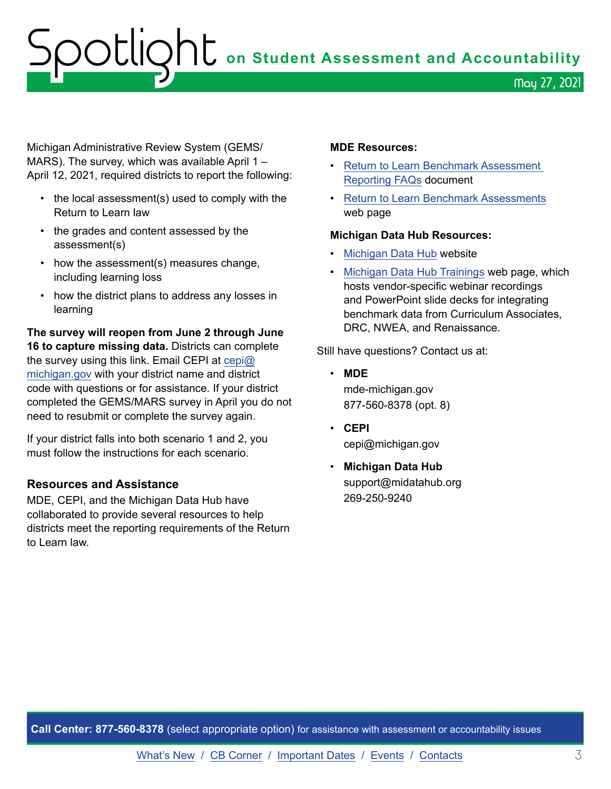# OOUQht on Student Assessment and Accountability May 27, 2021

Michigan Administrative Review System (GEMS/ MARS). The survey, which was available April 1 – April 12, 2021, required districts to report the following:

- the local assessment(s) used to comply with the Return to Learn law
- the grades and content assessed by the assessment(s)
- how the assessment(s) measures change, including learning loss
- how the district plans to address any losses in learning

**The survey will reopen from June 2 through June 16 to capture missing data.** Districts can complete the survey using this link. Email CEPI at [cepi@](mailto:cepi%40michigan.gov?subject=) [michigan.gov](mailto:cepi%40michigan.gov?subject=) with your district name and district code with questions or for assistance. If your district completed the GEMS/MARS survey in April you do not need to resubmit or complete the survey again.

If your district falls into both scenario 1 and 2, you must follow the instructions for each scenario.

#### **Resources and Assistance**

MDE, CEPI, and the Michigan Data Hub have collaborated to provide several resources to help districts meet the reporting requirements of the Return to Learn law.

#### **MDE Resources:**

- [Return to Learn Benchmark Assessment](https://www.michigan.gov/documents/mde/Return_to_Learn_Benchmark_Assessment_Reporting_FAQ_719786_7.pdf)  [Reporting FAQs](https://www.michigan.gov/documents/mde/Return_to_Learn_Benchmark_Assessment_Reporting_FAQ_719786_7.pdf) document
- [Return to Learn Benchmark Assessments](https://www.michigan.gov/mde/0,4615,7-140-22709_102327---,00.html) web page

#### **Michigan Data Hub Resources:**

- [Michigan Data Hub](https://www.midatahub.org/) website
- [Michigan Data Hub Trainings](https://www.midatahub.org/support/trainings/) web page, which hosts vendor-specific webinar recordings and PowerPoint slide decks for integrating benchmark data from Curriculum Associates, DRC, NWEA, and Renaissance.

Still have questions? Contact us at:

- **MDE** mde-michigan.gov 877-560-8378 (opt. 8)
- **CEPI** cepi@michigan.gov
- **Michigan Data Hub** support@midatahub.org 269-250-9240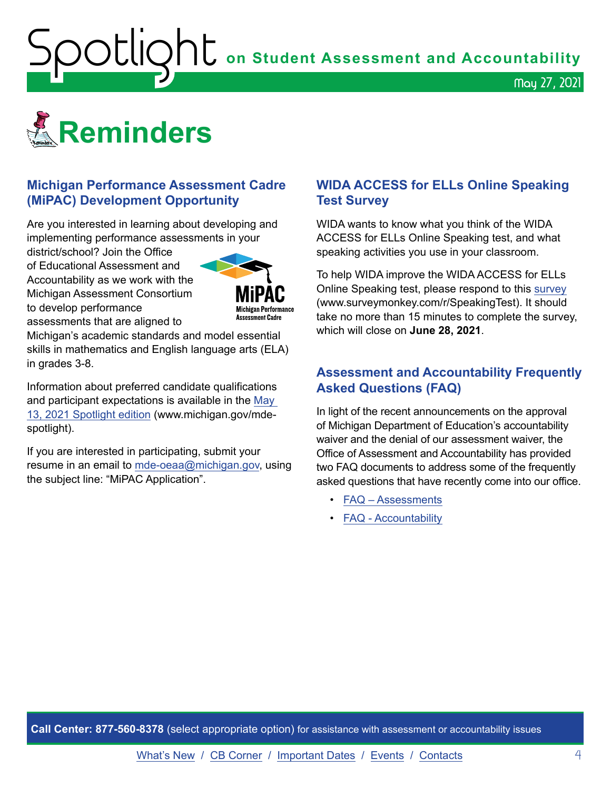<span id="page-3-1"></span>**OOUQNU** on Student Assessment and Accountability

<span id="page-3-0"></span>

#### **Michigan Performance Assessment Cadre (MiPAC) Development Opportunity**

Are you interested in learning about developing and implementing performance assessments in your

district/school? Join the Office of Educational Assessment and Accountability as we work with the Michigan Assessment Consortium to develop performance assessments that are aligned to



Michigan's academic standards and model essential skills in mathematics and English language arts (ELA) in grades 3-8.

Information about preferred candidate qualifications and participant expectations is available in the [May](https://www.michigan.gov/documents/mde/Spotlight_5-13-21_725244_7.pdf)  [13, 2021 Spotlight](https://www.michigan.gov/documents/mde/Spotlight_5-13-21_725244_7.pdf) edition (www.michigan.gov/mdespotlight).

If you are interested in participating, submit your resume in an email to [mde-oeaa@michigan.gov,](mailto:mde-oeaa%40michigan.gov?subject=MiPAC%20Application) using the subject line: "MiPAC Application".

#### **WIDA ACCESS for ELLs Online Speaking Test Survey**

May 27, 2021

WIDA wants to know what you think of the WIDA ACCESS for ELLs Online Speaking test, and what speaking activities you use in your classroom.

To help WIDA improve the WIDA ACCESS for ELLs Online Speaking test, please respond to this [survey](https://www.surveymonkey.com/r/SpeakingTest) (www.surveymonkey.com/r/SpeakingTest). It should take no more than 15 minutes to complete the survey, which will close on **June 28, 2021**.

#### **Assessment and Accountability Frequently Asked Questions (FAQ)**

In light of the recent announcements on the approval of Michigan Department of Education's accountability waiver and the denial of our assessment waiver, the Office of Assessment and Accountability has provided two FAQ documents to address some of the frequently asked questions that have recently come into our office.

- [FAQ Assessments](https://www.michigan.gov/documents/mde/Spring_2021_Summative_Assessments_FAQ_721789_7.pdf)
- [FAQ Accountability](https://www.michigan.gov/documents/mde/Michigan_School_Accountability_Planning_and_Response_to_COVID-19_701197_7.pdf)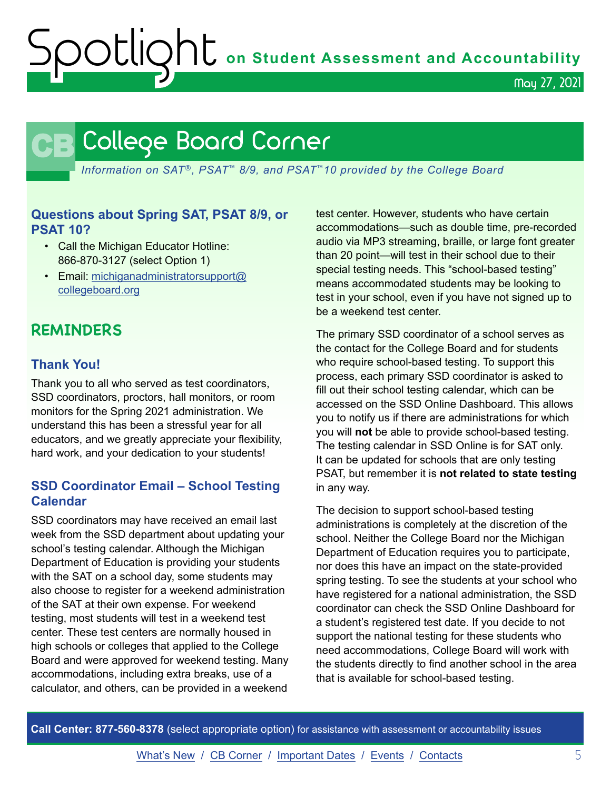**OCLIQht** on Student Assessment and Accountability

May 27, 2021

## **CB** College Board Corner

<span id="page-4-0"></span>*Information on SAT*®*, PSAT*™ *8/9, and PSAT*™*10 provided by the College Board*

#### **Questions about Spring SAT, PSAT 8/9, or PSAT 10?**

- Call the Michigan Educator Hotline: 866-870-3127 (select Option 1)
- Email: [michiganadministratorsupport@](mailto:michiganadministratorsupport%40collegeboard.org?subject=) [collegeboard.org](mailto:michiganadministratorsupport%40collegeboard.org?subject=)

### **REMINDERS**

#### **Thank You!**

Thank you to all who served as test coordinators, SSD coordinators, proctors, hall monitors, or room monitors for the Spring 2021 administration. We understand this has been a stressful year for all educators, and we greatly appreciate your flexibility, hard work, and your dedication to your students!

#### **SSD Coordinator Email – School Testing Calendar**

SSD coordinators may have received an email last week from the SSD department about updating your school's testing calendar. Although the Michigan Department of Education is providing your students with the SAT on a school day, some students may also choose to register for a weekend administration of the SAT at their own expense. For weekend testing, most students will test in a weekend test center. These test centers are normally housed in high schools or colleges that applied to the College Board and were approved for weekend testing. Many accommodations, including extra breaks, use of a calculator, and others, can be provided in a weekend

test center. However, students who have certain accommodations—such as double time, pre-recorded audio via MP3 streaming, braille, or large font greater than 20 point—will test in their school due to their special testing needs. This "school-based testing" means accommodated students may be looking to test in your school, even if you have not signed up to be a weekend test center.

The primary SSD coordinator of a school serves as the contact for the College Board and for students who require school-based testing. To support this process, each primary SSD coordinator is asked to fill out their school testing calendar, which can be accessed on the SSD Online Dashboard. This allows you to notify us if there are administrations for which you will **not** be able to provide school-based testing. The testing calendar in SSD Online is for SAT only. It can be updated for schools that are only testing PSAT, but remember it is **not related to state testing** in any way.

The decision to support school-based testing administrations is completely at the discretion of the school. Neither the College Board nor the Michigan Department of Education requires you to participate, nor does this have an impact on the state-provided spring testing. To see the students at your school who have registered for a national administration, the SSD coordinator can check the SSD Online Dashboard for a student's registered test date. If you decide to not support the national testing for these students who need accommodations, College Board will work with the students directly to find another school in the area that is available for school-based testing.

**Call Center: 877-560-8378** (select appropriate option) for assistance with assessment or accountability issues

[What's New](#page-0-0) / [CB Corner](#page-4-0) / [Important Dates](#page-6-0) / [Events](#page-7-0) / [Contacts](#page-8-0) 5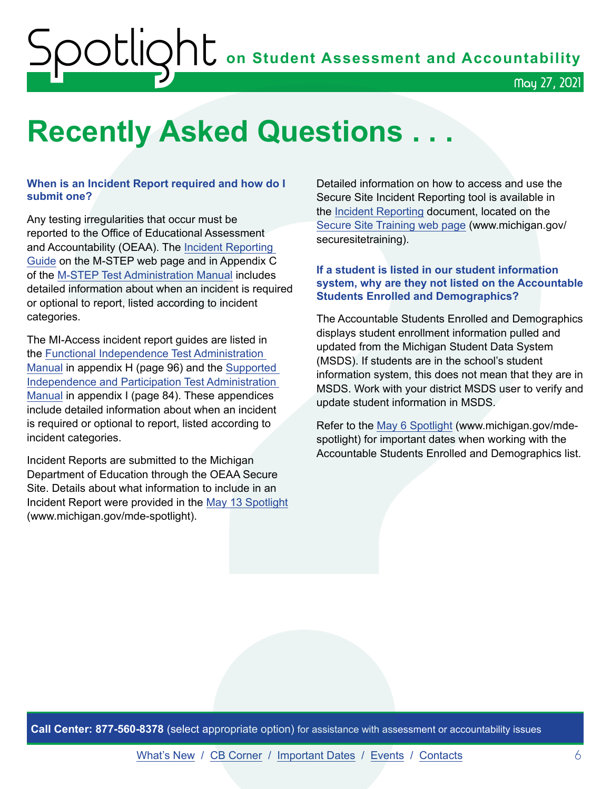## ${\sf SOL}$ May 27, 2021

## <span id="page-5-0"></span>**Recently Asked Questions . . .**

#### **When is an Incident Report required and how do I submit one?**

Any testing irregularities that occur must be reported to the Office of Educational Assessment and Accountability (OEAA). The [Incident Reporting](https://www.michigan.gov/documents/mde/Incident_Reporting_520328_7.pdf)  [Guide](https://www.michigan.gov/documents/mde/Incident_Reporting_520328_7.pdf) on the M-STEP web page and in Appendix C of the [M-STEP Test Administration Manual](https://www.michigan.gov/documents/mde/M-STEP_Test_Administration_Manual_630729_7.pdf) includes detailed information about when an incident is required or optional to report, listed according to incident categories.

The MI-Access incident report guides are listed in the [Functional Independence Test Administration](https://www.michigan.gov/documents/mde/MI-ACCESS_Functional_Independence_TAM_635412_7.pdf)  [Manual](https://www.michigan.gov/documents/mde/MI-ACCESS_Functional_Independence_TAM_635412_7.pdf) in appendix H (page 96) and the [Supported](https://www.michigan.gov/documents/mde/Participation_and_Supported_Independence_TAM_635414_7.pdf)  [Independence and Participation Test Administration](https://www.michigan.gov/documents/mde/Participation_and_Supported_Independence_TAM_635414_7.pdf)  [Manual](https://www.michigan.gov/documents/mde/Participation_and_Supported_Independence_TAM_635414_7.pdf) in appendix I (page 84). These appendices include detailed information about when an incident is required or optional to report, listed according to incident categories.

Incident Reports are submitted to the Michigan Department of Education through the OEAA Secure Site. Details about what information to include in an Incident Report were provided in the [May 13 Spotlight](https://www.michigan.gov/documents/mde/Spotlight_5-13-21_725244_7.pdf) (www.michigan.gov/mde-spotlight).

Detailed information on how to access and use the Secure Site Incident Reporting tool is available in the [Incident Reporting](https://www.michigan.gov/documents/mde/Incident_Reporting_for_M-STEP_520328_7_557253_7.pdf) document, located on the [Secure Site Training web page](http://www.michigan.gov/securesitetraining) (www.michigan.gov/ securesitetraining).

#### **If a student is listed in our student information system, why are they not listed on the Accountable Students Enrolled and Demographics?**

The Accountable Students Enrolled and Demographics displays student enrollment information pulled and updated from the Michigan Student Data System (MSDS). If students are in the school's student information system, this does not mean that they are in MSDS. Work with your district MSDS user to verify and update student information in MSDS.

Refer to the [May 6 Spotlight](https://www.michigan.gov/documents/mde/Spotlight_5-6-21_724419_7.pdf) (www.michigan.gov/mdespotlight) for important dates when working with the Accountable Students Enrolled and Demographics list.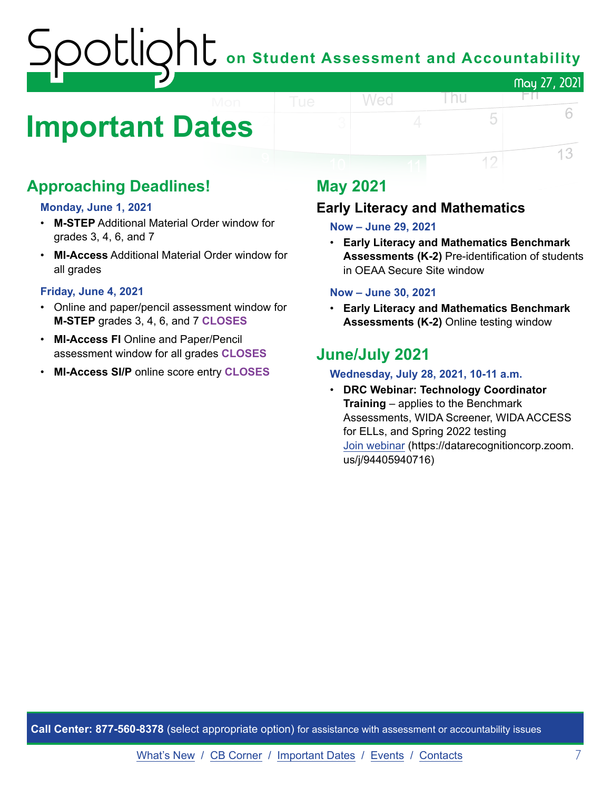# on Student Assessment and Accountability May 27, 2021

## <span id="page-6-0"></span>**Important Dates**

## **Approaching Deadlines!**

#### **Monday, June 1, 2021**

- **M-STEP** Additional Material Order window for grades 3, 4, 6, and 7
- **MI-Access** Additional Material Order window for all grades

#### **Friday, June 4, 2021**

- Online and paper/pencil assessment window for **M-STEP** grades 3, 4, 6, and 7 **CLOSES**
- **MI-Access FI** Online and Paper/Pencil assessment window for all grades **CLOSES**
- **MI-Access SI/P** online score entry **CLOSES**

## **May 2021**

#### **Early Literacy and Mathematics**

#### **Now – June 29, 2021**

Wed

• **Early Literacy and Mathematics Benchmark Assessments (K-2)** Pre-identification of students in OEAA Secure Site window

l nu

FП

5

12

6

13

#### **Now – June 30, 2021**

• **Early Literacy and Mathematics Benchmark Assessments (K-2)** Online testing window

### **June/July 2021**

#### **Wednesday, July 28, 2021, 10-11 a.m.**

• **DRC Webinar: Technology Coordinator Training** – applies to the Benchmark Assessments, WIDA Screener, WIDA ACCESS for ELLs, and Spring 2022 testing [Join webinar](https://datarecognitioncorp.zoom.us/j/94405940716) (https://datarecognitioncorp.zoom. us/j/94405940716)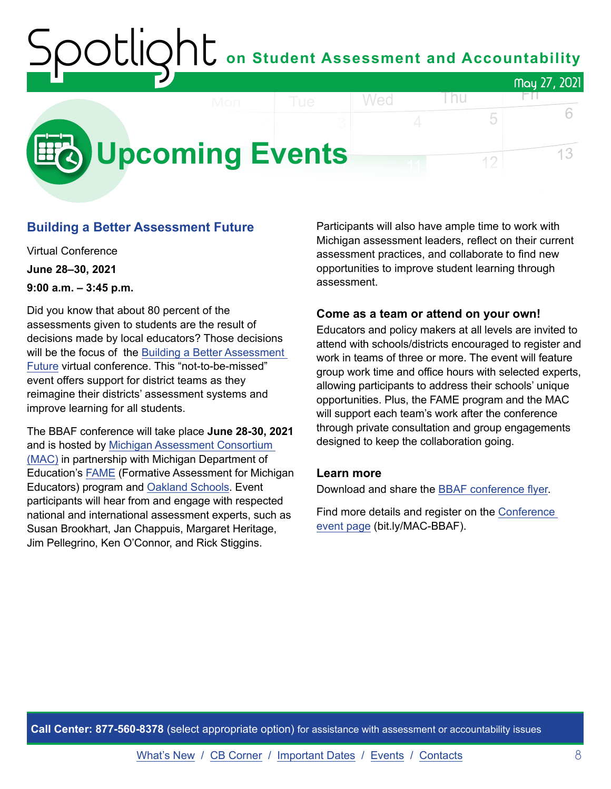### on Student Assessment and Accountability May 27, 2021 Wed l nu FП.

<span id="page-7-0"></span>

#### **Building a Better Assessment Future**

Virtual Conference **June 28–30, 2021 9:00 a.m. – 3:45 p.m.**

Did you know that about 80 percent of the assessments given to students are the result of decisions made by local educators? Those decisions will be the focus of the Building a Better Assessment [Future](https://www.michiganassessmentconsortium.org/event/building-a-better-assessment-future/) virtual conference. This "not-to-be-missed" event offers support for district teams as they reimagine their districts' assessment systems and improve learning for all students.

The BBAF conference will take place **June 28-30, 2021** and is hosted by [Michigan Assessment Consortium](http://www.michiganassessmentconsortium.org/)  [\(MAC\)](http://www.michiganassessmentconsortium.org/) in partnership with Michigan Department of Education's [FAME](http://www.famemichigan.org/) (Formative Assessment for Michigan Educators) program and [Oakland Schools.](https://www.oakland.k12.mi.us/) Event participants will hear from and engage with respected national and international assessment experts, such as Susan Brookhart, Jan Chappuis, Margaret Heritage, Jim Pellegrino, Ken O'Connor, and Rick Stiggins.

Participants will also have ample time to work with Michigan assessment leaders, reflect on their current assessment practices, and collaborate to find new opportunities to improve student learning through assessment.

5

12

#### **Come as a team or attend on your own!**

Educators and policy makers at all levels are invited to attend with schools/districts encouraged to register and work in teams of three or more. The event will feature group work time and office hours with selected experts, allowing participants to address their schools' unique opportunities. Plus, the FAME program and the MAC will support each team's work after the conference through private consultation and group engagements designed to keep the collaboration going.

#### **Learn more**

Download and share the [BBAF conference flyer.](https://www.michiganassessmentconsortium.org/wp-content/uploads/BBAF-Flyer-1.pdf)

Find more details and register on the [Conference](https://www.michiganassessmentconsortium.org/event/building-a-better-assessment-future/)  [event page](https://www.michiganassessmentconsortium.org/event/building-a-better-assessment-future/) (bit.ly/MAC-BBAF).

**Call Center: 877-560-8378** (select appropriate option) for assistance with assessment or accountability issues

6

13